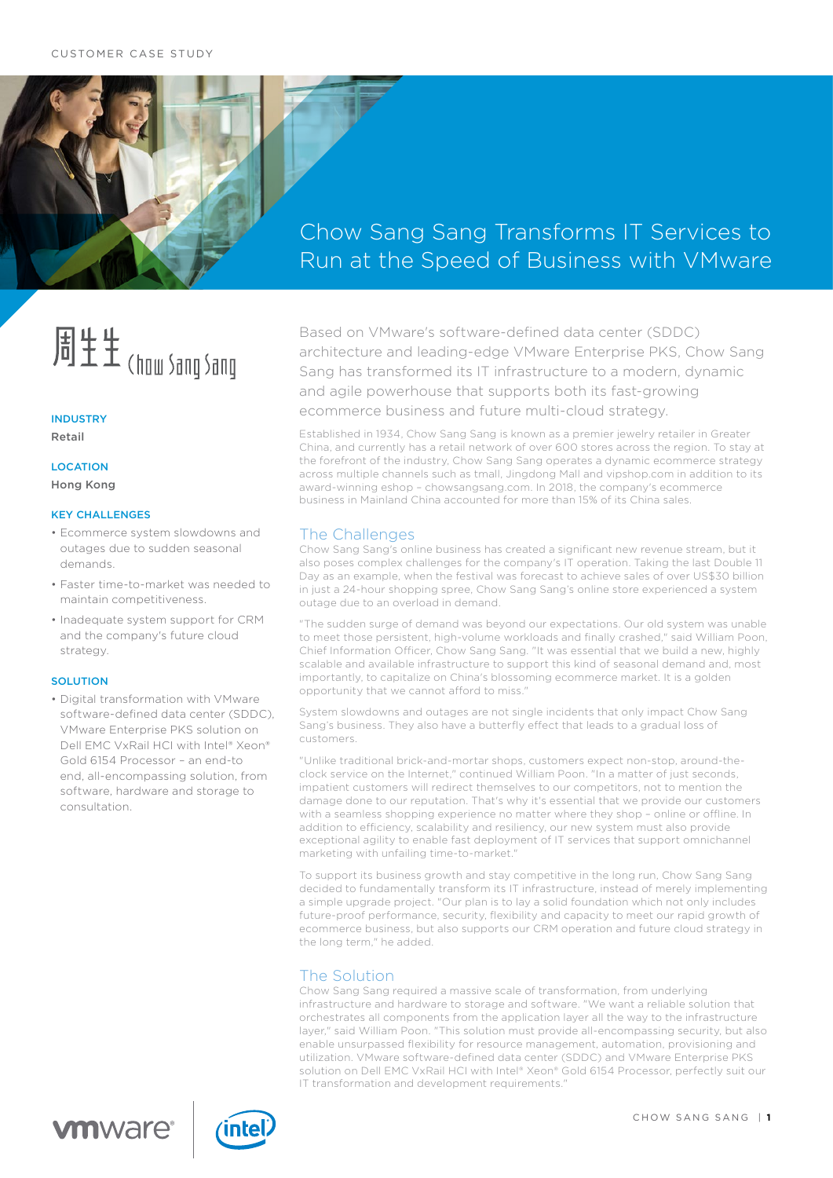

# Chow Sang Sang Transforms IT Services to Run at the Speed of Business with VMware

# 周生生(how Sang Sang

# **INDUSTRY**

Retail

**LOCATION** 

Hong Kong

### KEY CHALLENGES

- Ecommerce system slowdowns and outages due to sudden seasonal demands.
- Faster time-to-market was needed to maintain competitiveness.
- Inadequate system support for CRM and the company's future cloud strategy.

### **SOLUTION**

• Digital transformation with VMware software-defined data center (SDDC), VMware Enterprise PKS solution on Dell EMC VxRail HCI with Intel® Xeon® Gold 6154 Processor – an end-to end, all-encompassing solution, from software, hardware and storage to consultation.

Based on VMware's software-defined data center (SDDC) architecture and leading-edge VMware Enterprise PKS, Chow Sang Sang has transformed its IT infrastructure to a modern, dynamic and agile powerhouse that supports both its fast-growing ecommerce business and future multi-cloud strategy.

Established in 1934, Chow Sang Sang is known as a premier jewelry retailer in Greater China, and currently has a retail network of over 600 stores across the region. To stay at the forefront of the industry, Chow Sang Sang operates a dynamic ecommerce strategy across multiple channels such as tmall, Jingdong Mall and vipshop.com in addition to its award-winning eshop – chowsangsang.com. In 2018, the company's ecommerce business in Mainland China accounted for more than 15% of its China sales.

# The Challenges

Chow Sang Sang's online business has created a significant new revenue stream, but it also poses complex challenges for the company's IT operation. Taking the last Double 11 Day as an example, when the festival was forecast to achieve sales of over US\$30 billion in just a 24-hour shopping spree, Chow Sang Sang's online store experienced a system outage due to an overload in demand.

"The sudden surge of demand was beyond our expectations. Our old system was unable to meet those persistent, high-volume workloads and finally crashed," said William Poon, Chief Information Officer, Chow Sang Sang. "It was essential that we build a new, highly scalable and available infrastructure to support this kind of seasonal demand and, most importantly, to capitalize on China's blossoming ecommerce market. It is a golden opportunity that we cannot afford to miss."

System slowdowns and outages are not single incidents that only impact Chow Sang Sang's business. They also have a butterfly effect that leads to a gradual loss of customers.

"Unlike traditional brick-and-mortar shops, customers expect non-stop, around-theclock service on the Internet," continued William Poon. "In a matter of just seconds, impatient customers will redirect themselves to our competitors, not to mention the damage done to our reputation. That's why it's essential that we provide our customers with a seamless shopping experience no matter where they shop – online or offline. In addition to efficiency, scalability and resiliency, our new system must also provide exceptional agility to enable fast deployment of IT services that support omnichannel marketing with unfailing time-to-market."

To support its business growth and stay competitive in the long run, Chow Sang Sang decided to fundamentally transform its IT infrastructure, instead of merely implementing a simple upgrade project. "Our plan is to lay a solid foundation which not only includes future-proof performance, security, flexibility and capacity to meet our rapid growth of ecommerce business, but also supports our CRM operation and future cloud strategy in the long term," he added.

# The Solution

Chow Sang Sang required a massive scale of transformation, from underlying infrastructure and hardware to storage and software. "We want a reliable solution that orchestrates all components from the application layer all the way to the infrastructure layer," said William Poon. "This solution must provide all-encompassing security, but also enable unsurpassed flexibility for resource management, automation, provisioning and utilization. VMware software-defined data center (SDDC) and VMware Enterprise PKS solution on Dell EMC VxRail HCI with Intel® Xeon® Gold 6154 Processor, perfectly suit our IT transformation and development requirements."